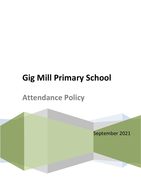# **Gig Mill Primary School**

# **Attendance Policy**

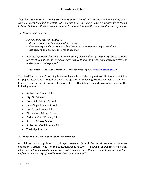# **Attendance Policy**

*"Regular attendance at school is crucial in raising standards of education and in ensuring every child can meet their full potential. Missing out on lessons leaves children vulnerable to falling behind. Children with poor attendance tend to achieve less in both primary and secondary school.*

*The Government expects:*

- *Schools and Local Authorities to*
	- *Reduce absence including persistent absence*
	- *Ensure every pupil has access to full-time education to which they are entitled*
	- *Act early to address any patterns of absence*
- *Parents to perform their legal duty by ensuring their children of compulsory school age who are registered at school attend early and ensure that all pupils are punctual to their lessons and attend school regularly"*

#### *Department for Education – Advice on School Attendance July 2017 [\(www.education.gov.uk\)](http://www.education.gov.uk/)*

The Head Teachers and Governing Bodies of local schools take very seriously their responsibilities for pupils' attendance. Together they have agreed the following Attendance Policy. The main body of the policy has been formally agreed by the Head Teachers and Governing Bodies of the following schools:

- Amblecote Primary School
- Gig Mill Primary
- Greenfield Primary School
- Ham Dingle Primary School
- Hob Green Primary School
- Oldswinford Primary School
- Pedmore C of E Primary School
- Rufford Primary School
- St. James's C of E Primary School
- The Ridge Primary

# **1. What the Law says about School Attendance:**

All children of compulsory school age (between 5 and 16) must receive a full-time education. Section 444 (1a) of the Education Act 1996 says: *"If a child of compulsory school age, who is a registered pupil at a school, fails to attend regularly, without reasonable justification, then his/her parent is guilty of an offence and can be prosecuted".*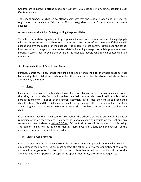Children are required to attend school for 190 days (380 sessions) in any single academic year (September-July).

The school expects all children to attend every day that the school is open and on time for registration. Absence that falls below 90% is categorised by the Government as persistent absence.

#### **Attendance and the School's Safeguarding Responsibilities**

The school has a statutory safeguarding responsibility to ensure the safety and wellbeing of pupils who are absent from school. Therefore parents and carers must inform the school if their child is absent and give the reason for the absence. It is imperative that parents/carers keep the school informed of any changes to their contact details, including changes to mobile phone numbers. Parents / carers must provide the details of at least two people who can be contacted in an emergency.

# **2. Responsibilities of Parents and Carers**

Parents / Carers must ensure that their child is able to attend school for the whole academic year by ensuring their child attends school unless there is a reason for the absence which has been approved by the school.

# a) Illness

If a parent or carer considers their child has an illness which may warrant them remaining at home, then they must consider first of all whether they feel that their child would still be able to take part in the majority, if not all, of the school's activities. In this case, they should still send their child to school. Should the child become unwell during the day and/or if the school feels that they are no longer able to participate in school activities, the school will contact parents to collect their child.

If parents feel that their child cannot take part in the school's activities and would be better remaining at home then they must contact the school as soon as possible on the first and any subsequent days of absence before 9:30 am. Failure to do so constitutes a breach of this policy. The person ringing will be asked to identify themselves and clearly give the reason for the absence. This information will be recorded.

#### b) Medical Appointments

Medical appointments must be made out of school time wherever possible. If a child has a medical appointment then parents/carers must contact the school prior to the appointment to ask for approved arrangements for the child to be collected/returned to school as close to the appointment time as possible. A copy of the appointment time/letter may be requested.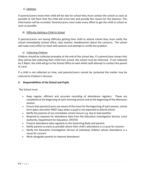#### c) Lateness

If parents/carers know their child will be late for school they must contact the school as soon as possible to tell them that the child will arrive late and provide the reason for the lateness. This information will be recorded. Parents/carers must make every effort to get the child to school as soon as possible.

# d) Difficulty Getting a Child to School

If parents/carers are having difficulty getting their child to attend school they must notify the school immediately (school office, class teacher, Headteacher) about the concerns. The school will make every effort to meet with parents and attempt to rectify the problem.

# e) Collecting Children

Children should be collected promptly at the end of the school day. If a parent/carer knows that they will be late collecting their child from school, the school must be informed. If not collected by 3.30pm, the child will go to the School Office to wait whilst staff attempt to contact the parent or carer.

If a child is not collected on time, and parents/carers cannot be contacted the matter may be referred to Children's Services.

# **3. Responsibilities of the School and Pupils**

The School must:

- Keep regular, efficient and accurate recording of attendance registers. These are completed at the beginning of each morning session and at the beginning of the afternoon session.
- Ensure that parents/carers are aware of the times for the beginning of each session, school term dates and other INSET days when a pupil is not expected to attend school
- Notify the parents of any immediate school closure e.g. due to bad weather
- Respond to requests for attendance data from the Education Investigation Service, Local Authority, Department for Education, OFSTED
- Present attendance data regularly to the Governing Body and parents
- Notify parents as early as possible where their child's attendance is a cause for concern
- Notify the Education Investigation Service of individual children whose attendance is a cause for concern
- Work alongside parents to improve attendance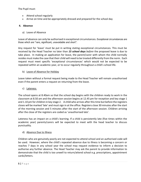The Pupil must:

- Attend school regularly
- Arrive on time and be appropriately dressed and prepared for the school day

## **4. Absence**

a) Leave of Absence

Leave of absence can only be authorised in exceptional circumstances. Exceptional circumstances are those which are "rare, significant, unavoidable and short".

Any request for 'leave' must be put in writing stating exceptional circumstances. This must be received by the Head Teacher no later than *15 school days before* the proposed leave is due to take place. In making an application for leave, the parent/carer with whom the child normally resides must make the case that their child will need to be treated differently from the norm. Each request must meet specific 'exceptional circumstances' which would not be expected to be repeated within an academic year, or to occur regularly throughout a child's school life.

b) Leave of Absence for Holiday

Leave taken without a formal request being made to the Head Teacher will remain unauthorised even if the parent enters a request on returning from the leave.

c) Lateness

The school opens at 8.40am so that the school day begins with the children ready to work in the classroom at 8.50 am and the afternoon session begins at 12.45 pm for reception and key stage 1 and 1.10 pm for children in key stage 2. A child who arrives after this time but before the registers closes will be marked 'late' and must sign in at the office. Registers close 30 minutes after the start of the morning session and 5 minutes after the start of the afternoon session. Children arriving after the close of the registers are coded as 'unauthorised late'.

Lateness has an impact on a child's learning. If a child is persistently late (five times within the academic year) parents/carers will be expected to meet with the head teacher to discuss punctuality.

#### d) Absence Due to Illness

Children who are genuinely poorly are not expected to attend school and an authorised code will be used. However, where the child's repeated absence due to illness is becoming a concern or reaches 7 days in any school year the school may request evidence to inform a decision to authorise any further absence. The Head Teacher may ask the parent to provide information to demonstrate that the child is too unwell to return/attend school e.g. prescriptions, appointment cards/letters.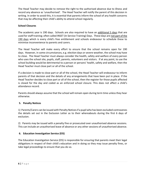The Head Teacher may decide to remove the right to the authorised absence due to illness and record any absence as 'unauthorised'. The Head Teacher will notify the parent of this decision in writing. In order to avoid this, it is essential that parents inform the school of any health concerns that may be affecting their child's ability to attend school regularly.

## **School Closures**

The academic year is 190 days. Schools are also required to have an additional 5 days that are used for staff training; often called INSET (In Service Training) Days. These days are not part of the 190 days which is every child's free entitlement and schools endeavour to schedule these to minimise inconvenience to parents and carers.

The Head Teacher will make every effort to ensure that the school remains open for 190 days. However, in some circumstances, e.g. election days or severe weather, the school may have to close. The Head Teacher must always consider the health, safety and welfare of every person who uses the school site, pupils, staff, parents, volunteers and visitors. If at any point, to use the school building would be detrimental to a person or persons' health, safety and welfare, then the Head Teacher must close part or all of the school.

If a decision is made to close part or all of the school, the Head Teacher will endeavour to inform parents of that decision and the details of any arrangements that have been put in place. If the Head Teacher decides to close part or all of the school, then the register for those pupils affected is closed for the day and coded as an enforced school closure. This does not affect a child's attendance record.

Parents should always assume that the school will remain open during term time unless they hear otherwise.

#### **5. Penalty Notices**

1) Parents/Carers can be issued with Penalty Notices if a pupil who has been excluded contravenes the details set out in the Exclusion Letter as to their whereabouts during the first 6 days of exclusion.

2) Parents may be issued with a penalty fine or prosecuted over unauthorised absence sessions. This can include an unauthorised leave of absence or any other sessions of unauthorised absence.

#### **6. Education Investigation Service (EIS)**

The Education Investigation Service (EIS) is responsible for ensuring that parents meet their legal obligations in respect of their child's education and in doing so they may issue penalty fines, or take legal proceedings to ensure that you do so.